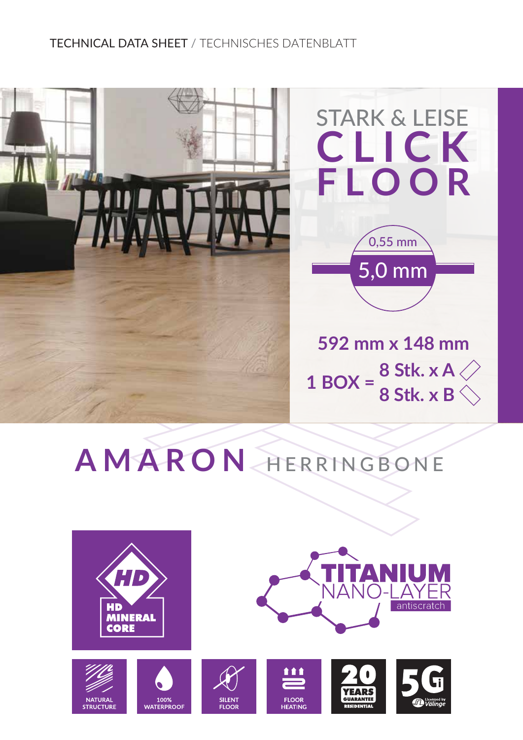## TECHNICAL DATA SHEET / TECHNISCHES DATENBLATT



## **AMARON** HERRINGBONE







**SILENT** 

**FLOOR** 



**111** 

**FLOOR** 

**HEATING**